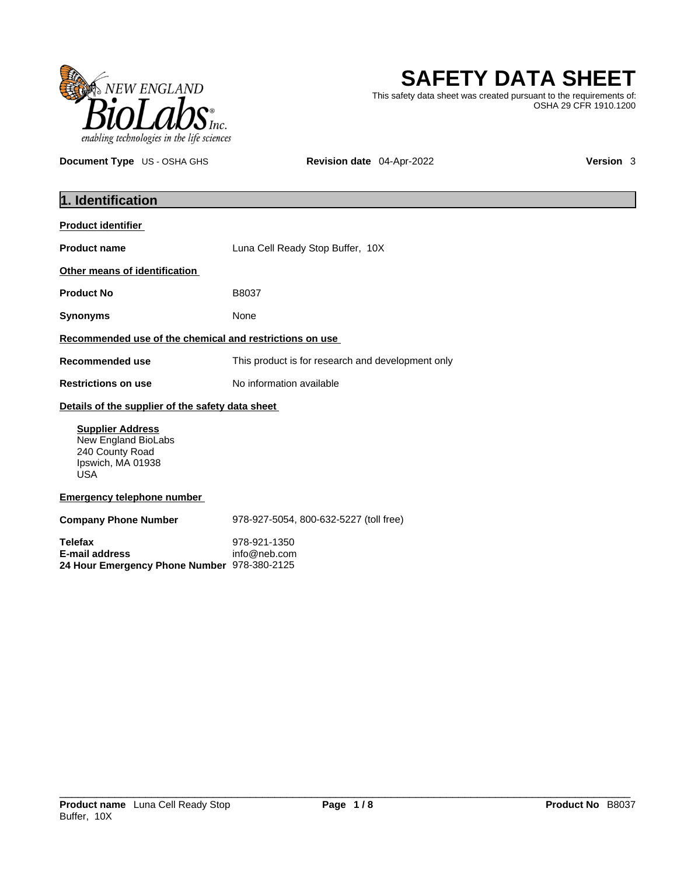

# **SAFETY DATA SHEET**

This safety data sheet was created pursuant to the requirements of: OSHA 29 CFR 1910.1200

**Document Type** US - OSHA GHS **Revision date** 04-Apr-2022 **Version 3** 

| 1. Identification                                                                                    |                                                   |  |
|------------------------------------------------------------------------------------------------------|---------------------------------------------------|--|
| <b>Product identifier</b>                                                                            |                                                   |  |
| <b>Product name</b>                                                                                  | Luna Cell Ready Stop Buffer, 10X                  |  |
| Other means of identification                                                                        |                                                   |  |
| <b>Product No</b>                                                                                    | B8037                                             |  |
| <b>Synonyms</b>                                                                                      | None                                              |  |
| Recommended use of the chemical and restrictions on use                                              |                                                   |  |
| <b>Recommended use</b>                                                                               | This product is for research and development only |  |
| <b>Restrictions on use</b>                                                                           | No information available                          |  |
| Details of the supplier of the safety data sheet                                                     |                                                   |  |
| <b>Supplier Address</b><br>New England BioLabs<br>240 County Road<br>Ipswich, MA 01938<br><b>USA</b> |                                                   |  |
| <b>Emergency telephone number</b>                                                                    |                                                   |  |
| <b>Company Phone Number</b>                                                                          | 978-927-5054, 800-632-5227 (toll free)            |  |
| <b>Telefax</b><br>E-mail address<br>24 Hour Emergency Phone Number 978-380-2125                      | 978-921-1350<br>info@neb.com                      |  |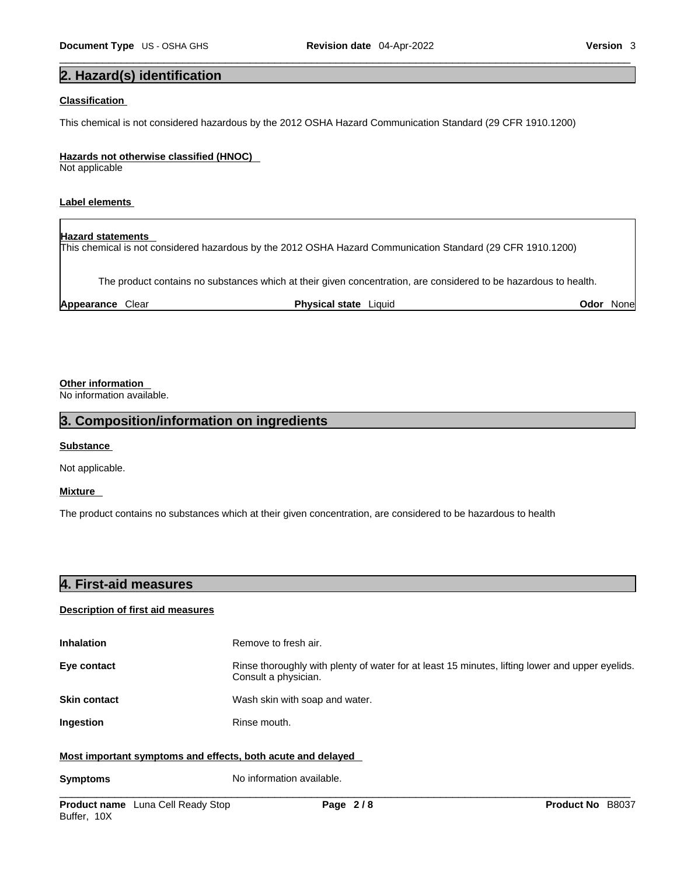## **2. Hazard(s) identification**

## **Classification**

This chemical is not considered hazardous by the 2012 OSHA Hazard Communication Standard (29 CFR 1910.1200)

#### **Hazards not otherwise classified (HNOC)**

Not applicable

### **Label elements**

## **Hazard statements**

This chemical is not considered hazardous by the 2012 OSHA Hazard Communication Standard (29 CFR 1910.1200)

The product contains no substances which at their given concentration, are considered to be hazardous to health.

**Appearance** Clear **Physical state** Liquid **Odor** None

## **Other information**

No information available.

## **3. Composition/information on ingredients**

### **Substance**

Not applicable.

## **Mixture**

The product contains no substances which at their given concentration, are considered to be hazardous to health

| 4. First-aid measures |  |
|-----------------------|--|
|                       |  |

## **Description of first aid measures**

| <b>Inhalation</b>                                           | Remove to fresh air.                                                                                                    |
|-------------------------------------------------------------|-------------------------------------------------------------------------------------------------------------------------|
| Eye contact                                                 | Rinse thoroughly with plenty of water for at least 15 minutes, lifting lower and upper eyelids.<br>Consult a physician. |
| <b>Skin contact</b>                                         | Wash skin with soap and water.                                                                                          |
| Ingestion                                                   | Rinse mouth.                                                                                                            |
| Most important symptoms and effects, both acute and delayed |                                                                                                                         |

**Symptoms** No information available.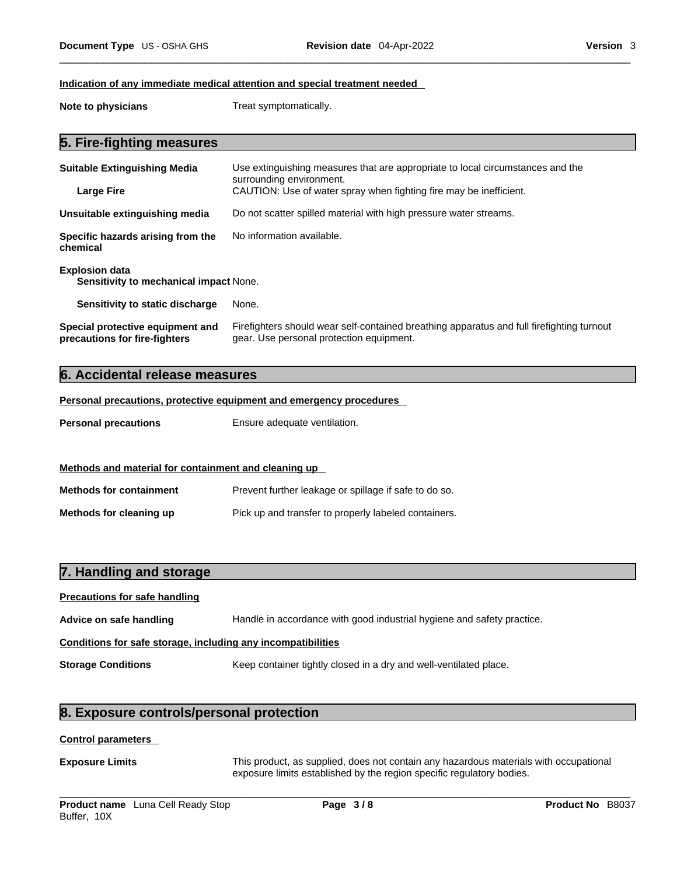#### **Indication of any immediate medical attention and special treatment needed**

**Note to physicians** Treat symptomatically.

## **5. Fire-fighting measures**

| <b>Suitable Extinguishing Media</b>                               | Use extinguishing measures that are appropriate to local circumstances and the<br>surrounding environment.                            |
|-------------------------------------------------------------------|---------------------------------------------------------------------------------------------------------------------------------------|
| <b>Large Fire</b>                                                 | CAUTION: Use of water spray when fighting fire may be inefficient.                                                                    |
| Unsuitable extinguishing media                                    | Do not scatter spilled material with high pressure water streams.                                                                     |
| Specific hazards arising from the<br>chemical                     | No information available.                                                                                                             |
| <b>Explosion data</b><br>Sensitivity to mechanical impact None.   |                                                                                                                                       |
| Sensitivity to static discharge                                   | None.                                                                                                                                 |
| Special protective equipment and<br>precautions for fire-fighters | Firefighters should wear self-contained breathing apparatus and full firefighting turnout<br>gear. Use personal protection equipment. |

## **6. Accidental release measures**

**Personal precautions, protective equipment and emergency procedures**

**Personal precautions** Ensure adequate ventilation.

## **Methods and material for containment and cleaning up**

**Methods for containment** Prevent further leakage or spillage if safe to do so. **Methods for cleaning up** Pick up and transfer to properly labeled containers.

## **7. Handling and storage**

# **Precautions for safe handling Advice on safe handling** Handle in accordance with good industrial hygiene and safety practice. **Conditions for safe storage, including any incompatibilities Storage Conditions** Keep container tightly closed in a dry and well-ventilated place.

## **8. Exposure controls/personal protection**

#### **Control parameters**

**Exposure Limits** This product, as supplied, does not contain any hazardous materials with occupational exposure limits established by the region specific regulatory bodies.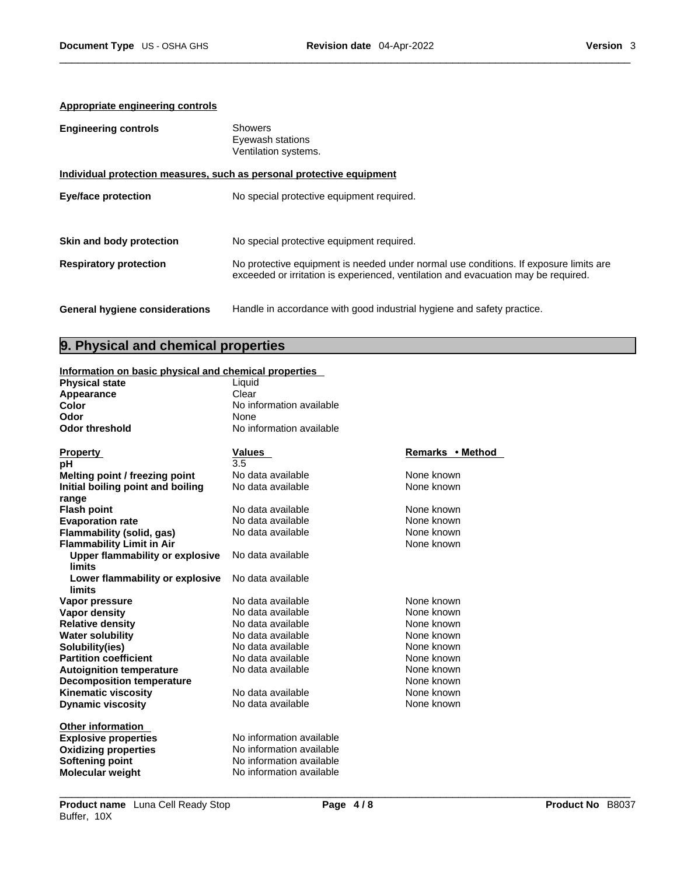## **Appropriate engineering controls**

| <b>Engineering controls</b>           | Showers<br>Eyewash stations<br>Ventilation systems.                                                                                                                         |
|---------------------------------------|-----------------------------------------------------------------------------------------------------------------------------------------------------------------------------|
|                                       | Individual protection measures, such as personal protective equipment                                                                                                       |
| <b>Eye/face protection</b>            | No special protective equipment required.                                                                                                                                   |
| Skin and body protection              | No special protective equipment required.                                                                                                                                   |
| <b>Respiratory protection</b>         | No protective equipment is needed under normal use conditions. If exposure limits are<br>exceeded or irritation is experienced, ventilation and evacuation may be required. |
| <b>General hygiene considerations</b> | Handle in accordance with good industrial hygiene and safety practice.                                                                                                      |

## **9. Physical and chemical properties**

## **Information on basic physical and chemical properties**

| <u>Information on basic physical and chemical properties</u> |                          |                  |
|--------------------------------------------------------------|--------------------------|------------------|
| <b>Physical state</b>                                        | Liquid                   |                  |
| Appearance                                                   | Clear                    |                  |
| Color                                                        | No information available |                  |
| Odor                                                         | None                     |                  |
| <b>Odor threshold</b>                                        | No information available |                  |
| <b>Property</b>                                              | <b>Values</b>            | Remarks • Method |
| рH                                                           | 3.5                      |                  |
| Melting point / freezing point                               | No data available        | None known       |
| Initial boiling point and boiling                            | No data available        | None known       |
|                                                              |                          |                  |
| range<br><b>Flash point</b>                                  | No data available        | None known       |
| <b>Evaporation rate</b>                                      | No data available        | None known       |
| Flammability (solid, gas)                                    | No data available        | None known       |
|                                                              |                          | None known       |
| <b>Flammability Limit in Air</b>                             | No data available        |                  |
| <b>Upper flammability or explosive</b><br><b>limits</b>      |                          |                  |
|                                                              | No data available        |                  |
| Lower flammability or explosive<br>limits                    |                          |                  |
|                                                              | No data available        | None known       |
| Vapor pressure                                               |                          |                  |
| <b>Vapor density</b>                                         | No data available        | None known       |
| <b>Relative density</b>                                      | No data available        | None known       |
| <b>Water solubility</b>                                      | No data available        | None known       |
| Solubility(ies)                                              | No data available        | None known       |
| <b>Partition coefficient</b>                                 | No data available        | None known       |
| <b>Autoignition temperature</b>                              | No data available        | None known       |
| <b>Decomposition temperature</b>                             |                          | None known       |
| Kinematic viscosity                                          | No data available        | None known       |
| <b>Dynamic viscosity</b>                                     | No data available        | None known       |
| <b>Other information</b>                                     |                          |                  |
| <b>Explosive properties</b>                                  | No information available |                  |
| <b>Oxidizing properties</b>                                  | No information available |                  |
| Softening point                                              | No information available |                  |
| <b>Molecular weight</b>                                      | No information available |                  |
|                                                              |                          |                  |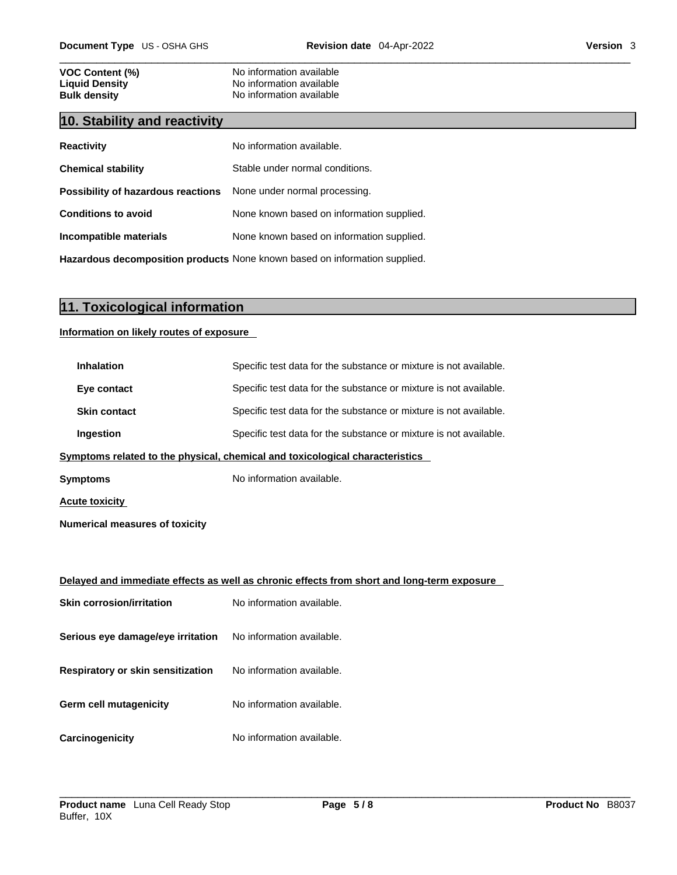# **VOC Content (%)**<br>
Liquid Density<br>
No information available<br>
No information available **Liquid Density Construction Available**<br> **Bulk density Discriming Construction and Available**<br>
No information available

## **10. Stability and reactivity**

| <b>Reactivity</b>                                                       | No information available.                 |
|-------------------------------------------------------------------------|-------------------------------------------|
| <b>Chemical stability</b>                                               | Stable under normal conditions.           |
| <b>Possibility of hazardous reactions</b> None under normal processing. |                                           |
| <b>Conditions to avoid</b>                                              | None known based on information supplied. |
| Incompatible materials                                                  | None known based on information supplied. |
|                                                                         |                                           |

**No information available** 

**Hazardous decomposition products** None known based on information supplied.

## **11. Toxicological information**

## **Information on likely routes of exposure**

| <b>Inhalation</b>                        | Specific test data for the substance or mixture is not available.                          |
|------------------------------------------|--------------------------------------------------------------------------------------------|
| Eye contact                              | Specific test data for the substance or mixture is not available.                          |
| <b>Skin contact</b>                      | Specific test data for the substance or mixture is not available.                          |
| Ingestion                                | Specific test data for the substance or mixture is not available.                          |
|                                          | Symptoms related to the physical, chemical and toxicological characteristics               |
| <b>Symptoms</b>                          | No information available.                                                                  |
| <u>Acute toxicity_</u>                   |                                                                                            |
| <b>Numerical measures of toxicity</b>    |                                                                                            |
|                                          |                                                                                            |
|                                          | Delayed and immediate effects as well as chronic effects from short and long-term exposure |
| <b>Skin corrosion/irritation</b>         | No information available.                                                                  |
| Serious eye damage/eye irritation        | No information available.                                                                  |
| <b>Respiratory or skin sensitization</b> | No information available.                                                                  |
| Germ cell mutagenicity                   | No information available.                                                                  |
| <b>Carcinogenicity</b>                   | No information available.                                                                  |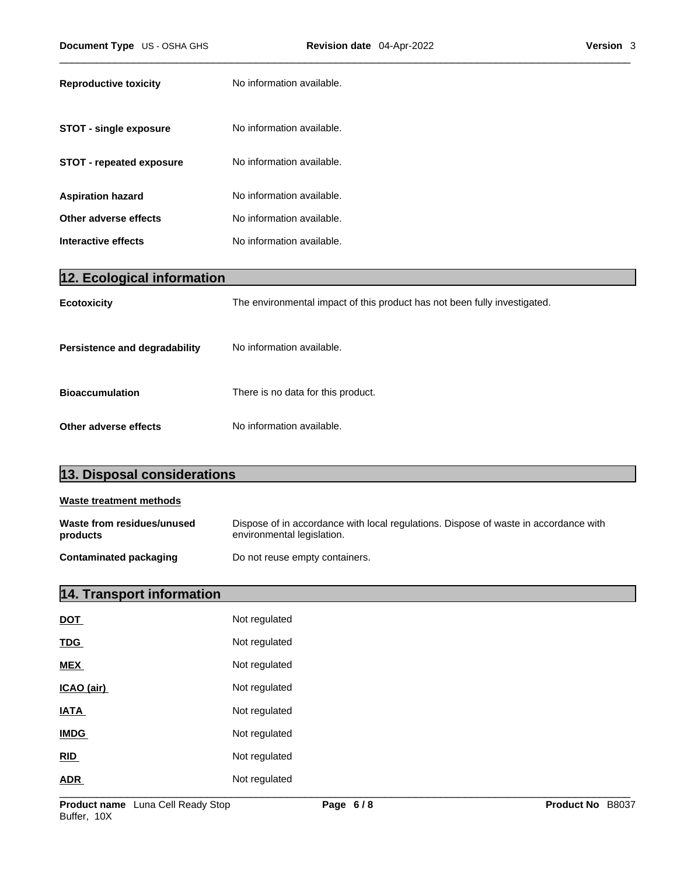| <b>Reproductive toxicity</b>    | No information available. |
|---------------------------------|---------------------------|
| <b>STOT - single exposure</b>   | No information available. |
| <b>STOT - repeated exposure</b> | No information available. |
| <b>Aspiration hazard</b>        | No information available. |
| Other adverse effects           | No information available. |
| Interactive effects             | No information available. |

| 12. Ecological information    |                                                                           |
|-------------------------------|---------------------------------------------------------------------------|
| <b>Ecotoxicity</b>            | The environmental impact of this product has not been fully investigated. |
| Persistence and degradability | No information available.                                                 |
| <b>Bioaccumulation</b>        | There is no data for this product.                                        |
| Other adverse effects         | No information available.                                                 |

| 13. Disposal considerations            |                                                                                                                    |
|----------------------------------------|--------------------------------------------------------------------------------------------------------------------|
| Waste treatment methods                |                                                                                                                    |
| Waste from residues/unused<br>products | Dispose of in accordance with local regulations. Dispose of waste in accordance with<br>environmental legislation. |
| <b>Contaminated packaging</b>          | Do not reuse empty containers.                                                                                     |

# **14. Transport information**

| <b>DOT</b>  | Not regulated |
|-------------|---------------|
| <b>TDG</b>  | Not regulated |
| <b>MEX</b>  | Not regulated |
| ICAO (air)  | Not regulated |
| <b>IATA</b> | Not regulated |
| <b>IMDG</b> | Not regulated |
| RID         | Not regulated |
| <b>ADR</b>  | Not regulated |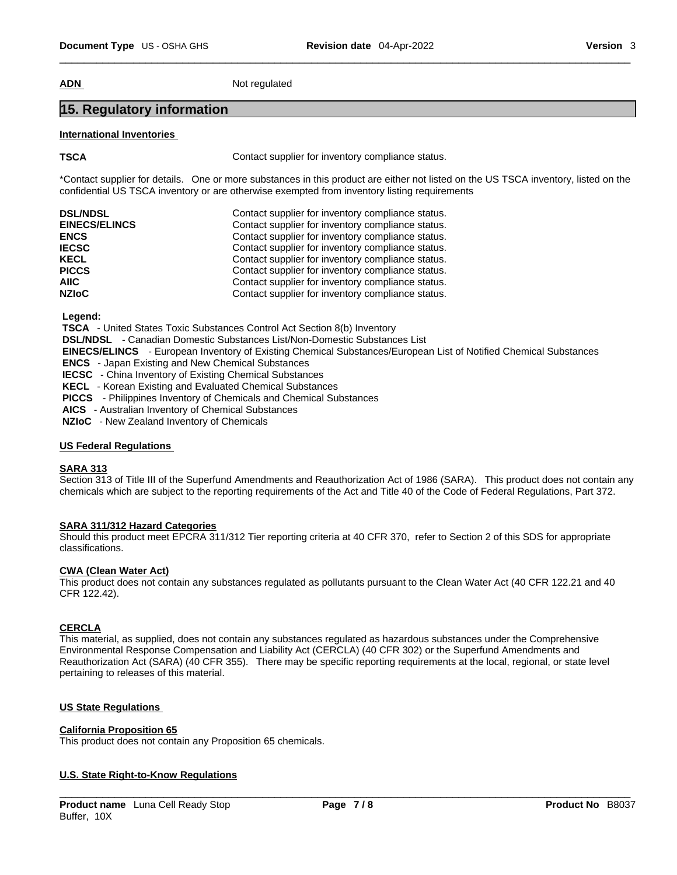**ADN** Not regulated

## **15. Regulatory information**

### **International Inventories**

**TSCA Contact supplier for inventory compliance status.** 

\*Contact supplier for details. One or more substances in this product are either not listed on the US TSCA inventory, listed on the confidential US TSCA inventory or are otherwise exempted from inventory listing requirements

| <b>DSL/NDSL</b>      | Contact supplier for inventory compliance status. |
|----------------------|---------------------------------------------------|
| <b>EINECS/ELINCS</b> | Contact supplier for inventory compliance status. |
| <b>ENCS</b>          | Contact supplier for inventory compliance status. |
| <b>IECSC</b>         | Contact supplier for inventory compliance status. |
| <b>KECL</b>          | Contact supplier for inventory compliance status. |
| <b>PICCS</b>         | Contact supplier for inventory compliance status. |
| AIIC.                | Contact supplier for inventory compliance status. |
| <b>NZIoC</b>         | Contact supplier for inventory compliance status. |

 **Legend:** 

 **TSCA** - United States Toxic Substances Control Act Section 8(b) Inventory

 **DSL/NDSL** - Canadian Domestic Substances List/Non-Domestic Substances List

 **EINECS/ELINCS** - European Inventory of Existing Chemical Substances/European List of Notified Chemical Substances

 **ENCS** - Japan Existing and New Chemical Substances

 **IECSC** - China Inventory of Existing Chemical Substances

 **KECL** - Korean Existing and Evaluated Chemical Substances

 **PICCS** - Philippines Inventory of Chemicals and Chemical Substances

 **AICS** - Australian Inventory of Chemical Substances

 **NZIoC** - New Zealand Inventory of Chemicals

## **US Federal Regulations**

## **SARA 313**

Section 313 of Title III of the Superfund Amendments and Reauthorization Act of 1986 (SARA). This product does not contain any chemicals which are subject to the reporting requirements of the Act and Title 40 of the Code of Federal Regulations, Part 372.

## **SARA 311/312 Hazard Categories**

Should this product meet EPCRA 311/312 Tier reporting criteria at 40 CFR 370, refer to Section 2 of this SDS for appropriate classifications.

## **CWA** (Clean Water Act)

This product does not contain any substances regulated as pollutants pursuant to the Clean Water Act (40 CFR 122.21 and 40 CFR 122.42).

#### **CERCLA**

This material, as supplied, does not contain any substances regulated as hazardous substances under the Comprehensive Environmental Response Compensation and Liability Act (CERCLA) (40 CFR 302) or the Superfund Amendments and Reauthorization Act (SARA) (40 CFR 355). There may be specific reporting requirements at the local, regional, or state level pertaining to releases of this material.

## **US State Regulations**

#### **California Proposition 65**

This product does not contain any Proposition 65 chemicals.

## **U.S. State Right-to-Know Regulations**